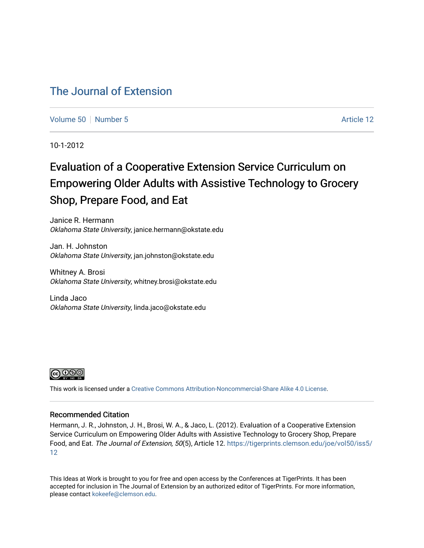## [The Journal of Extension](https://tigerprints.clemson.edu/joe)

[Volume 50](https://tigerprints.clemson.edu/joe/vol50) [Number 5](https://tigerprints.clemson.edu/joe/vol50/iss5) Article 12

10-1-2012

# Evaluation of a Cooperative Extension Service Curriculum on Empowering Older Adults with Assistive Technology to Grocery Shop, Prepare Food, and Eat

Janice R. Hermann Oklahoma State University, janice.hermann@okstate.edu

Jan. H. Johnston Oklahoma State University, jan.johnston@okstate.edu

Whitney A. Brosi Oklahoma State University, whitney.brosi@okstate.edu

Linda Jaco Oklahoma State University, linda.jaco@okstate.edu



This work is licensed under a [Creative Commons Attribution-Noncommercial-Share Alike 4.0 License.](https://creativecommons.org/licenses/by-nc-sa/4.0/)

#### Recommended Citation

Hermann, J. R., Johnston, J. H., Brosi, W. A., & Jaco, L. (2012). Evaluation of a Cooperative Extension Service Curriculum on Empowering Older Adults with Assistive Technology to Grocery Shop, Prepare Food, and Eat. The Journal of Extension, 50(5), Article 12. [https://tigerprints.clemson.edu/joe/vol50/iss5/](https://tigerprints.clemson.edu/joe/vol50/iss5/12) [12](https://tigerprints.clemson.edu/joe/vol50/iss5/12)

This Ideas at Work is brought to you for free and open access by the Conferences at TigerPrints. It has been accepted for inclusion in The Journal of Extension by an authorized editor of TigerPrints. For more information, please contact [kokeefe@clemson.edu](mailto:kokeefe@clemson.edu).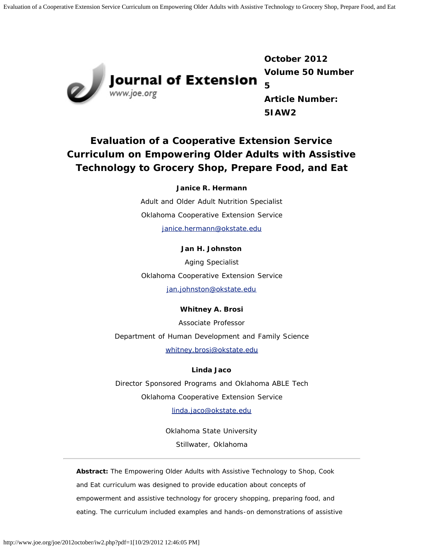Evaluation of a Cooperative Extension Service Curriculum on Empowering Older Adults with Assistive Technology to Grocery Shop, Prepare Food, and Eat



**Journal of Extension**<br>www.joe.org

**October 2012 Volume 50 Number 5 Article Number: 5IAW2**

## **Evaluation of a Cooperative Extension Service Curriculum on Empowering Older Adults with Assistive Technology to Grocery Shop, Prepare Food, and Eat**

**Janice R. Hermann**

Adult and Older Adult Nutrition Specialist Oklahoma Cooperative Extension Service [janice.hermann@okstate.edu](mailto:janice.hermann@okstate.edu)

#### **Jan H. Johnston**

Aging Specialist Oklahoma Cooperative Extension Service [jan.johnston@okstate.edu](mailto:jan.johnston@okstate.edu)

## **Whitney A. Brosi**

Associate Professor Department of Human Development and Family Science [whitney.brosi@okstate.edu](mailto:whitney.brosi@okstate.edu)

### **Linda Jaco**

Director Sponsored Programs and Oklahoma ABLE Tech Oklahoma Cooperative Extension Service [linda.jaco@okstate.edu](mailto:linda.jaco@okstate.edu)

> Oklahoma State University Stillwater, Oklahoma

*Abstract: The Empowering Older Adults with Assistive Technology to Shop, Cook and Eat curriculum was designed to provide education about concepts of empowerment and assistive technology for grocery shopping, preparing food, and eating. The curriculum included examples and hands-on demonstrations of assistive*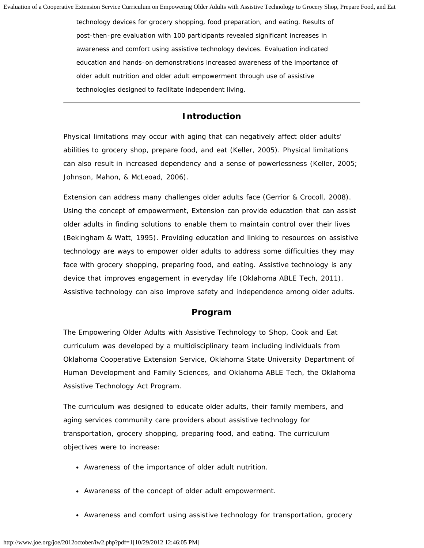*technology devices for grocery shopping, food preparation, and eating. Results of post-then-pre evaluation with 100 participants revealed significant increases in awareness and comfort using assistive technology devices. Evaluation indicated education and hands-on demonstrations increased awareness of the importance of older adult nutrition and older adult empowerment through use of assistive technologies designed to facilitate independent living.*

#### **Introduction**

Physical limitations may occur with aging that can negatively affect older adults' abilities to grocery shop, prepare food, and eat (Keller, 2005). Physical limitations can also result in increased dependency and a sense of powerlessness (Keller, 2005; Johnson, Mahon, & McLeoad, 2006).

Extension can address many challenges older adults face (Gerrior & Crocoll, 2008). Using the concept of empowerment, Extension can provide education that can assist older adults in finding solutions to enable them to maintain control over their lives (Bekingham & Watt, 1995). Providing education and linking to resources on assistive technology are ways to empower older adults to address some difficulties they may face with grocery shopping, preparing food, and eating. Assistive technology is any device that improves engagement in everyday life (Oklahoma ABLE Tech, 2011). Assistive technology can also improve safety and independence among older adults.

## **Program**

The Empowering Older Adults with Assistive Technology to Shop, Cook and Eat curriculum was developed by a multidisciplinary team including individuals from Oklahoma Cooperative Extension Service, Oklahoma State University Department of Human Development and Family Sciences, and Oklahoma ABLE Tech, the Oklahoma Assistive Technology Act Program.

The curriculum was designed to educate older adults, their family members, and aging services community care providers about assistive technology for transportation, grocery shopping, preparing food, and eating. The curriculum objectives were to increase:

- Awareness of the importance of older adult nutrition.
- Awareness of the concept of older adult empowerment.
- Awareness and comfort using assistive technology for transportation, grocery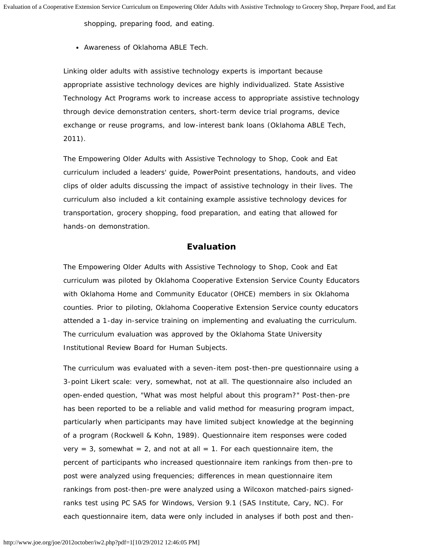shopping, preparing food, and eating.

Awareness of Oklahoma ABLE Tech.

Linking older adults with assistive technology experts is important because appropriate assistive technology devices are highly individualized. State Assistive Technology Act Programs work to increase access to appropriate assistive technology through device demonstration centers, short-term device trial programs, device exchange or reuse programs, and low-interest bank loans (Oklahoma ABLE Tech, 2011).

The Empowering Older Adults with Assistive Technology to Shop, Cook and Eat curriculum included a leaders' guide, PowerPoint presentations, handouts, and video clips of older adults discussing the impact of assistive technology in their lives. The curriculum also included a kit containing example assistive technology devices for transportation, grocery shopping, food preparation, and eating that allowed for hands-on demonstration.

#### **Evaluation**

The Empowering Older Adults with Assistive Technology to Shop, Cook and Eat curriculum was piloted by Oklahoma Cooperative Extension Service County Educators with Oklahoma Home and Community Educator (OHCE) members in six Oklahoma counties. Prior to piloting, Oklahoma Cooperative Extension Service county educators attended a 1-day in-service training on implementing and evaluating the curriculum. The curriculum evaluation was approved by the Oklahoma State University Institutional Review Board for Human Subjects.

The curriculum was evaluated with a seven-item post-then-pre questionnaire using a 3-point Likert scale: very, somewhat, not at all. The questionnaire also included an open-ended question, "What was most helpful about this program?" Post-then-pre has been reported to be a reliable and valid method for measuring program impact, particularly when participants may have limited subject knowledge at the beginning of a program (Rockwell & Kohn, 1989). Questionnaire item responses were coded very = 3, somewhat = 2, and not at all = 1. For each questionnaire item, the percent of participants who increased questionnaire item rankings from then-pre to post were analyzed using frequencies; differences in mean questionnaire item rankings from post-then-pre were analyzed using a Wilcoxon matched-pairs signedranks test using PC SAS for Windows, Version 9.1 (SAS Institute, Cary, NC). For each questionnaire item, data were only included in analyses if both post and then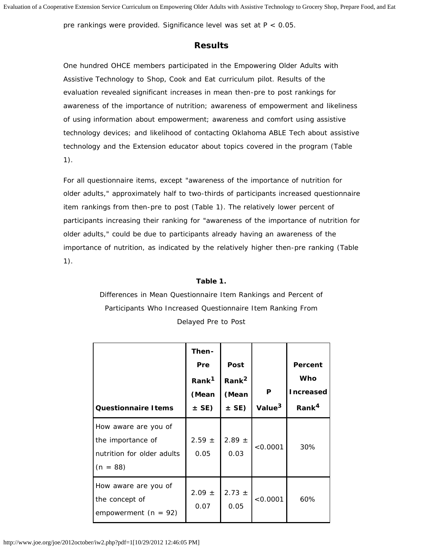pre rankings were provided. Significance level was set at P < 0.05.

### **Results**

One hundred OHCE members participated in the Empowering Older Adults with Assistive Technology to Shop, Cook and Eat curriculum pilot. Results of the evaluation revealed significant increases in mean then-pre to post rankings for awareness of the importance of nutrition; awareness of empowerment and likeliness of using information about empowerment; awareness and comfort using assistive technology devices; and likelihood of contacting Oklahoma ABLE Tech about assistive technology and the Extension educator about topics covered in the program (Table 1).

For all questionnaire items, except "awareness of the importance of nutrition for older adults," approximately half to two-thirds of participants increased questionnaire item rankings from then-pre to post (Table 1). The relatively lower percent of participants increasing their ranking for "awareness of the importance of nutrition for older adults," could be due to participants already having an awareness of the importance of nutrition, as indicated by the relatively higher then-pre ranking (Table 1).

#### **Table 1.**

Differences in Mean Questionnaire Item Rankings and Percent of Participants Who Increased Questionnaire Item Ranking From Delayed Pre to Post

| <b>Questionnaire I tems</b>                                                           | Then-<br><b>Pre</b><br>Rank <sup>1</sup><br>(Mean<br>$\pm$ SE) | Post<br>Rank <sup>2</sup><br>(Mean<br>$\pm$ SE) | P<br>Value <sup>3</sup> | Percent<br>Who<br><b>Increased</b><br>Rank <sup>4</sup> |
|---------------------------------------------------------------------------------------|----------------------------------------------------------------|-------------------------------------------------|-------------------------|---------------------------------------------------------|
| How aware are you of<br>the importance of<br>nutrition for older adults<br>$(n = 88)$ | $2.59 \pm$<br>0.05                                             | $2.89 \pm$<br>0.03                              | < 0.0001                | 30%                                                     |
| How aware are you of<br>the concept of<br>empowerment $(n = 92)$                      | $2.09 \pm$<br>0.07                                             | $2.73 \pm$<br>0.05                              | < 0.0001                | 60%                                                     |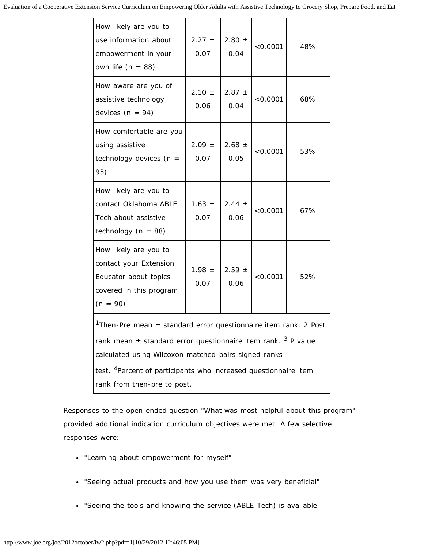Evaluation of a Cooperative Extension Service Curriculum on Empowering Older Adults with Assistive Technology to Grocery Shop, Prepare Food, and Eat

| How likely are you to<br>use information about<br>empowerment in your<br>own life ( $n = 88$ )                                                                                                                                                                                                                                        | $2.27 \pm$<br>0.07 | $2.80 \pm$<br>0.04 | < 0.0001 | 48% |  |
|---------------------------------------------------------------------------------------------------------------------------------------------------------------------------------------------------------------------------------------------------------------------------------------------------------------------------------------|--------------------|--------------------|----------|-----|--|
| How aware are you of<br>assistive technology<br>devices ( $n = 94$ )                                                                                                                                                                                                                                                                  | $2.10 \pm$<br>0.06 | $2.87 \pm$<br>0.04 | < 0.0001 | 68% |  |
| How comfortable are you<br>using assistive<br>technology devices ( $n =$<br>93)                                                                                                                                                                                                                                                       | $2.09 \pm$<br>0.07 | $2.68 \pm$<br>0.05 | < 0.0001 | 53% |  |
| How likely are you to<br>contact Oklahoma ABLE<br>Tech about assistive<br>technology ( $n = 88$ )                                                                                                                                                                                                                                     | $1.63 \pm$<br>0.07 | $2.44 \pm$<br>0.06 | < 0.0001 | 67% |  |
| How likely are you to<br>contact your Extension<br>Educator about topics<br>covered in this program<br>$(n = 90)$                                                                                                                                                                                                                     | $1.98 \pm$<br>0.07 | $2.59 \pm$<br>0.06 | < 0.0001 | 52% |  |
| <sup>1</sup> Then-Pre mean $\pm$ standard error questionnaire item rank. 2 Post<br>rank mean $\pm$ standard error questionnaire item rank. <sup>3</sup> P value<br>calculated using Wilcoxon matched-pairs signed-ranks<br>test. <sup>4</sup> Percent of participants who increased questionnaire item<br>rank from then-pre to post. |                    |                    |          |     |  |

Responses to the open-ended question "What was most helpful about this program" provided additional indication curriculum objectives were met. A few selective responses were:

- "Learning about empowerment for myself"
- "Seeing actual products and how you use them was very beneficial"
- "Seeing the tools and knowing the service (ABLE Tech) is available"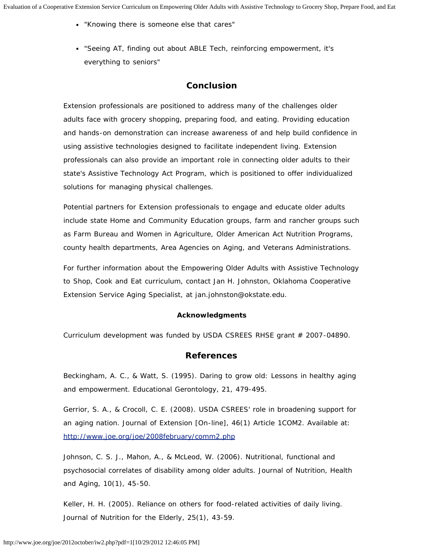- "Knowing there is someone else that cares"
- "Seeing AT, finding out about ABLE Tech, reinforcing empowerment, it's everything to seniors"

## **Conclusion**

Extension professionals are positioned to address many of the challenges older adults face with grocery shopping, preparing food, and eating. Providing education and hands-on demonstration can increase awareness of and help build confidence in using assistive technologies designed to facilitate independent living. Extension professionals can also provide an important role in connecting older adults to their state's Assistive Technology Act Program, which is positioned to offer individualized solutions for managing physical challenges.

Potential partners for Extension professionals to engage and educate older adults include state Home and Community Education groups, farm and rancher groups such as Farm Bureau and Women in Agriculture, Older American Act Nutrition Programs, county health departments, Area Agencies on Aging, and Veterans Administrations.

For further information about the Empowering Older Adults with Assistive Technology to Shop, Cook and Eat curriculum, contact Jan H. Johnston, Oklahoma Cooperative Extension Service Aging Specialist, at jan.johnston@okstate.edu.

#### **Acknowledgments**

Curriculum development was funded by USDA CSREES RHSE grant # 2007-04890.

#### **References**

Beckingham, A. C., & Watt, S. (1995). Daring to grow old: Lessons in healthy aging and empowerment. *Educational Gerontology*, 21, 479-495.

Gerrior, S. A., & Crocoll, C. E. (2008). USDA CSREES' role in broadening support for an aging nation. *Journal of Extension* [On-line], 46(1) Article 1COM2. Available at: <http://www.joe.org/joe/2008february/comm2.php>

Johnson, C. S. J., Mahon, A., & McLeod, W. (2006). Nutritional, functional and psychosocial correlates of disability among older adults. *Journal of Nutrition, Health and Aging*, 10(1), 45-50.

Keller, H. H. (2005). Reliance on others for food-related activities of daily living. *Journal of Nutrition for the Elderly*, 25(1), 43-59.